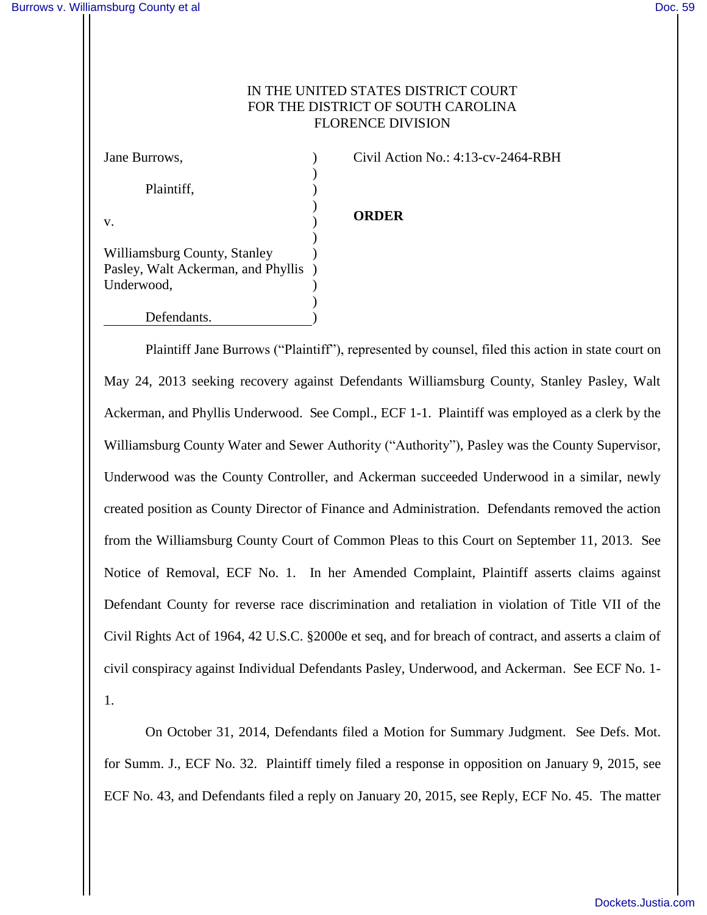# IN THE UNITED STATES DISTRICT COURT FOR THE DISTRICT OF SOUTH CAROLINA FLORENCE DIVISION

| Jane Burrows,                      |  |
|------------------------------------|--|
|                                    |  |
| Plaintiff,                         |  |
|                                    |  |
| V.                                 |  |
|                                    |  |
| Williamsburg County, Stanley       |  |
| Pasley, Walt Ackerman, and Phyllis |  |
| Underwood,                         |  |
|                                    |  |
| Defendants.                        |  |

Civil Action No.: 4:13-cv-2464-RBH

# **ORDER**

 Plaintiff Jane Burrows ("Plaintiff"), represented by counsel, filed this action in state court on May 24, 2013 seeking recovery against Defendants Williamsburg County, Stanley Pasley, Walt Ackerman, and Phyllis Underwood. See Compl., ECF 1-1. Plaintiff was employed as a clerk by the Williamsburg County Water and Sewer Authority ("Authority"), Pasley was the County Supervisor, Underwood was the County Controller, and Ackerman succeeded Underwood in a similar, newly created position as County Director of Finance and Administration. Defendants removed the action from the Williamsburg County Court of Common Pleas to this Court on September 11, 2013. See Notice of Removal, ECF No. 1. In her Amended Complaint, Plaintiff asserts claims against Defendant County for reverse race discrimination and retaliation in violation of Title VII of the Civil Rights Act of 1964, 42 U.S.C. §2000e et seq, and for breach of contract, and asserts a claim of civil conspiracy against Individual Defendants Pasley, Underwood, and Ackerman. See ECF No. 1- 1.

On October 31, 2014, Defendants filed a Motion for Summary Judgment. See Defs. Mot. for Summ. J., ECF No. 32. Plaintiff timely filed a response in opposition on January 9, 2015, see ECF No. 43, and Defendants filed a reply on January 20, 2015, see Reply, ECF No. 45. The matter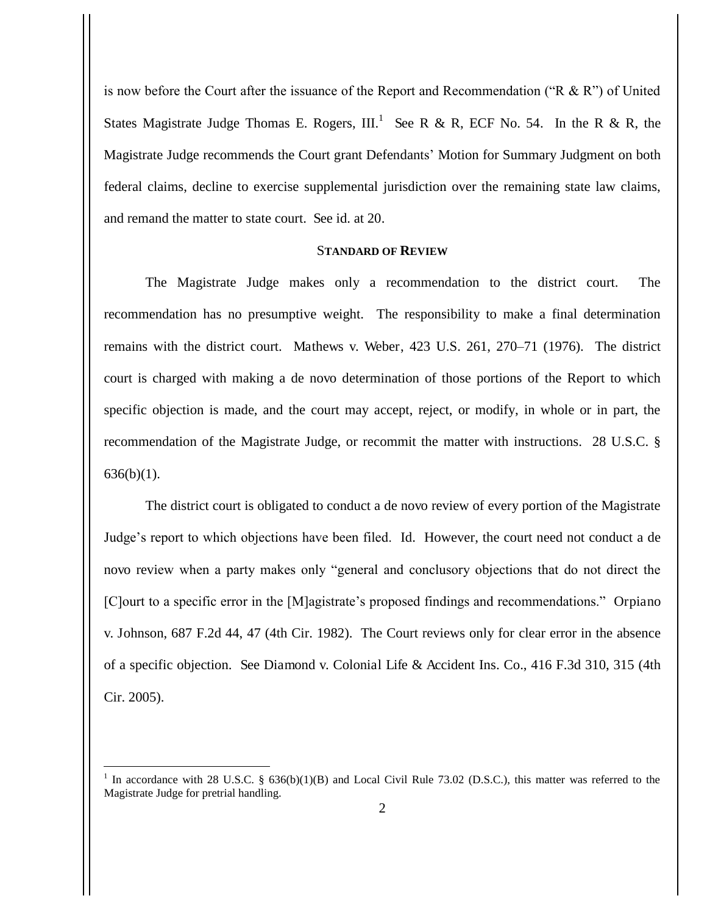is now before the Court after the issuance of the Report and Recommendation ("R  $\&$  R") of United States Magistrate Judge Thomas E. Rogers, III.<sup>1</sup> See R & R, ECF No. 54. In the R & R, the Magistrate Judge recommends the Court grant Defendants' Motion for Summary Judgment on both federal claims, decline to exercise supplemental jurisdiction over the remaining state law claims, and remand the matter to state court. See id. at 20.

### S**TANDARD OF REVIEW**

The Magistrate Judge makes only a recommendation to the district court. The recommendation has no presumptive weight. The responsibility to make a final determination remains with the district court. Mathews v. Weber, 423 U.S. 261, 270–71 (1976). The district court is charged with making a de novo determination of those portions of the Report to which specific objection is made, and the court may accept, reject, or modify, in whole or in part, the recommendation of the Magistrate Judge, or recommit the matter with instructions. 28 U.S.C. § 636(b)(1).

The district court is obligated to conduct a de novo review of every portion of the Magistrate Judge's report to which objections have been filed. Id. However, the court need not conduct a de novo review when a party makes only "general and conclusory objections that do not direct the [C]ourt to a specific error in the [M]agistrate's proposed findings and recommendations." Orpiano v. Johnson, 687 F.2d 44, 47 (4th Cir. 1982). The Court reviews only for clear error in the absence of a specific objection. See Diamond v. Colonial Life & Accident Ins. Co., 416 F.3d 310, 315 (4th Cir. 2005).

<sup>&</sup>lt;sup>1</sup> In accordance with 28 U.S.C. § 636(b)(1)(B) and Local Civil Rule 73.02 (D.S.C.), this matter was referred to the Magistrate Judge for pretrial handling.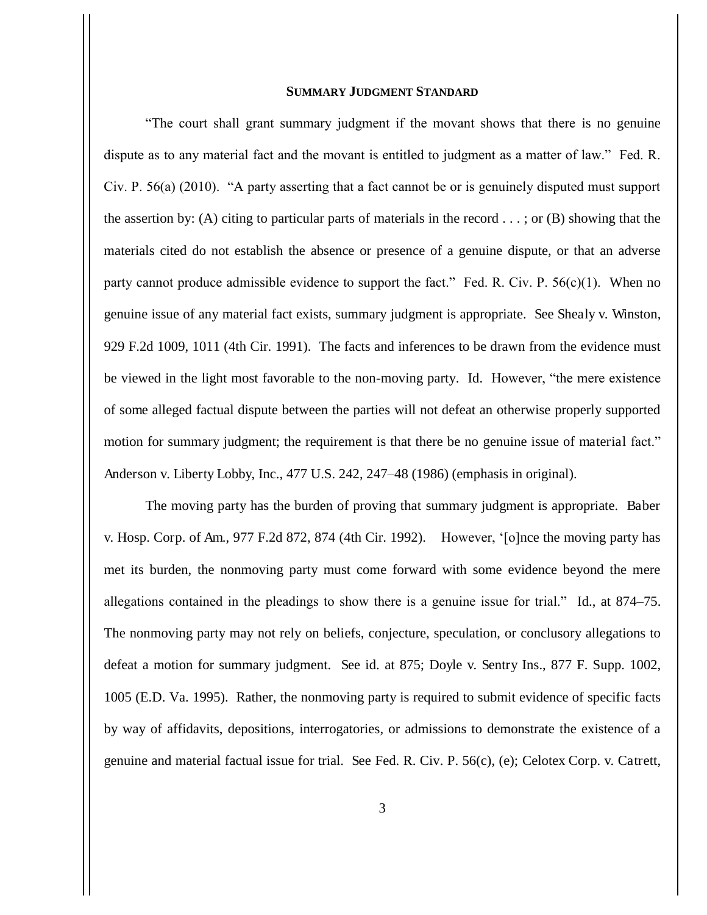## **SUMMARY JUDGMENT STANDARD**

"The court shall grant summary judgment if the movant shows that there is no genuine dispute as to any material fact and the movant is entitled to judgment as a matter of law." Fed. R. Civ. P. 56(a) (2010). "A party asserting that a fact cannot be or is genuinely disputed must support the assertion by: (A) citing to particular parts of materials in the record  $\dots$ ; or (B) showing that the materials cited do not establish the absence or presence of a genuine dispute, or that an adverse party cannot produce admissible evidence to support the fact." Fed. R. Civ. P.  $56(c)(1)$ . When no genuine issue of any material fact exists, summary judgment is appropriate. See Shealy v. Winston, 929 F.2d 1009, 1011 (4th Cir. 1991). The facts and inferences to be drawn from the evidence must be viewed in the light most favorable to the non-moving party. Id. However, "the mere existence of some alleged factual dispute between the parties will not defeat an otherwise properly supported motion for summary judgment; the requirement is that there be no genuine issue of material fact." Anderson v. Liberty Lobby, Inc., 477 U.S. 242, 247–48 (1986) (emphasis in original).

The moving party has the burden of proving that summary judgment is appropriate. Baber v. Hosp. Corp. of Am., 977 F.2d 872, 874 (4th Cir. 1992). However, '[o]nce the moving party has met its burden, the nonmoving party must come forward with some evidence beyond the mere allegations contained in the pleadings to show there is a genuine issue for trial." Id., at 874–75. The nonmoving party may not rely on beliefs, conjecture, speculation, or conclusory allegations to defeat a motion for summary judgment. See id. at 875; Doyle v. Sentry Ins., 877 F. Supp. 1002, 1005 (E.D. Va. 1995). Rather, the nonmoving party is required to submit evidence of specific facts by way of affidavits, depositions, interrogatories, or admissions to demonstrate the existence of a genuine and material factual issue for trial. See Fed. R. Civ. P. 56(c), (e); Celotex Corp. v. Catrett,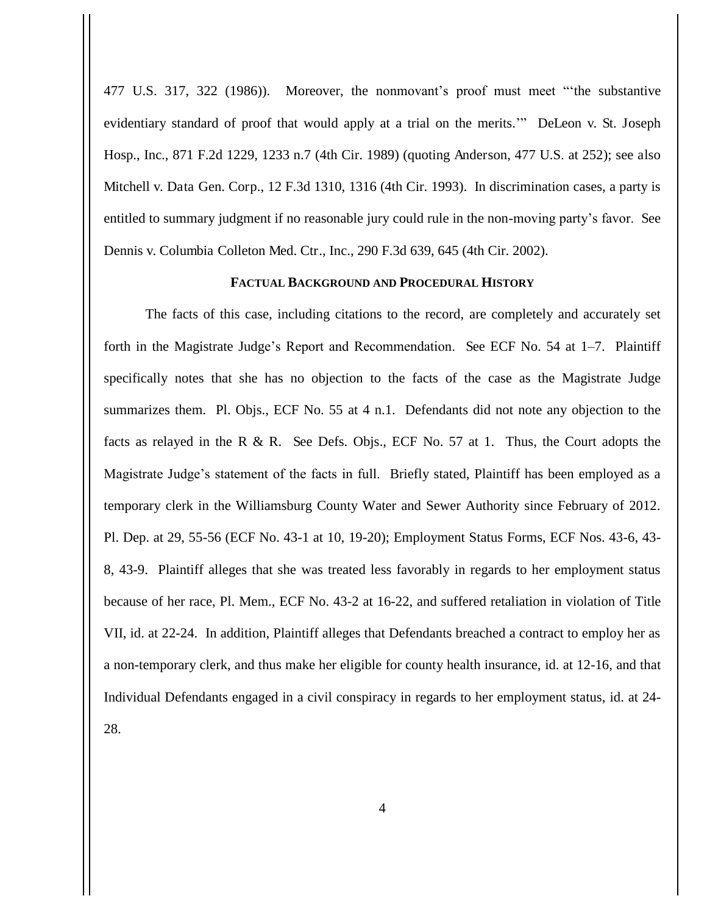477 U.S. 317, 322 (1986)). Moreover, the nonmovant's proof must meet "'the substantive evidentiary standard of proof that would apply at a trial on the merits.'" DeLeon v. St. Joseph Hosp., Inc., 871 F.2d 1229, 1233 n.7 (4th Cir. 1989) (quoting Anderson, 477 U.S. at 252); see also Mitchell v. Data Gen. Corp., 12 F.3d 1310, 1316 (4th Cir. 1993). In discrimination cases, a party is entitled to summary judgment if no reasonable jury could rule in the non-moving party's favor. See Dennis v. Columbia Colleton Med. Ctr., Inc., 290 F.3d 639, 645 (4th Cir. 2002).

## **FACTUAL BACKGROUND AND PROCEDURAL HISTORY**

 The facts of this case, including citations to the record, are completely and accurately set forth in the Magistrate Judge's Report and Recommendation. See ECF No. 54 at 1–7. Plaintiff specifically notes that she has no objection to the facts of the case as the Magistrate Judge summarizes them. Pl. Objs., ECF No. 55 at 4 n.1. Defendants did not note any objection to the facts as relayed in the R & R. See Defs. Objs., ECF No. 57 at 1. Thus, the Court adopts the Magistrate Judge's statement of the facts in full. Briefly stated, Plaintiff has been employed as a temporary clerk in the Williamsburg County Water and Sewer Authority since February of 2012. Pl. Dep. at 29, 55-56 (ECF No. 43-1 at 10, 19-20); Employment Status Forms, ECF Nos. 43-6, 43- 8, 43-9. Plaintiff alleges that she was treated less favorably in regards to her employment status because of her race, Pl. Mem., ECF No. 43-2 at 16-22, and suffered retaliation in violation of Title VII, id. at 22-24. In addition, Plaintiff alleges that Defendants breached a contract to employ her as a non-temporary clerk, and thus make her eligible for county health insurance, id. at 12-16, and that Individual Defendants engaged in a civil conspiracy in regards to her employment status, id. at 24- 28.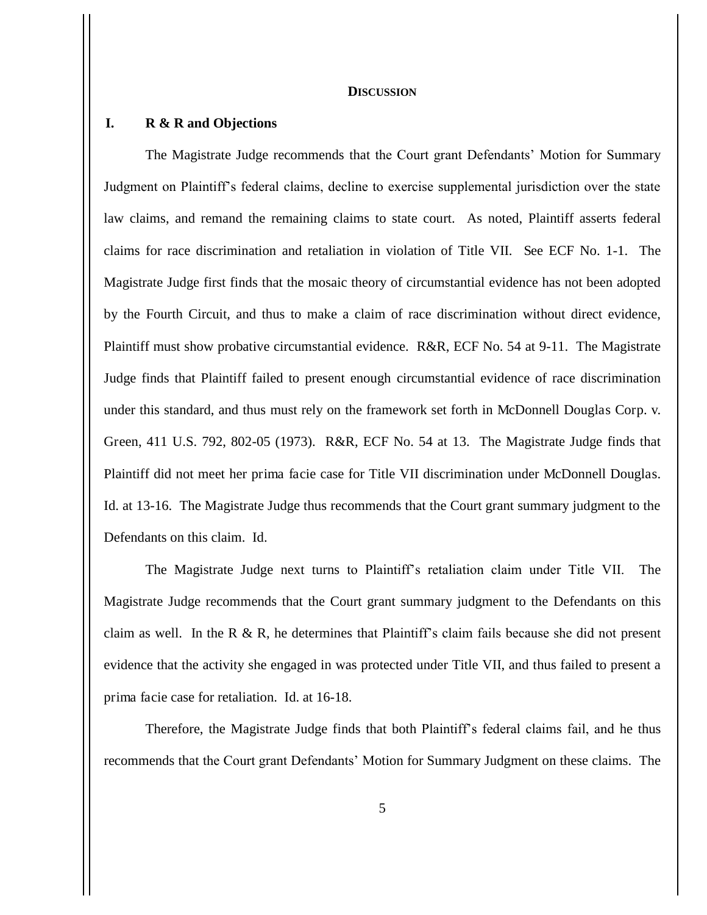#### **DISCUSSION**

## **I. R & R and Objections**

The Magistrate Judge recommends that the Court grant Defendants' Motion for Summary Judgment on Plaintiff's federal claims, decline to exercise supplemental jurisdiction over the state law claims, and remand the remaining claims to state court. As noted, Plaintiff asserts federal claims for race discrimination and retaliation in violation of Title VII. See ECF No. 1-1. The Magistrate Judge first finds that the mosaic theory of circumstantial evidence has not been adopted by the Fourth Circuit, and thus to make a claim of race discrimination without direct evidence, Plaintiff must show probative circumstantial evidence. R&R, ECF No. 54 at 9-11. The Magistrate Judge finds that Plaintiff failed to present enough circumstantial evidence of race discrimination under this standard, and thus must rely on the framework set forth in McDonnell Douglas Corp. v. Green, 411 U.S. 792, 802-05 (1973). R&R, ECF No. 54 at 13. The Magistrate Judge finds that Plaintiff did not meet her prima facie case for Title VII discrimination under McDonnell Douglas. Id. at 13-16. The Magistrate Judge thus recommends that the Court grant summary judgment to the Defendants on this claim. Id.

The Magistrate Judge next turns to Plaintiff's retaliation claim under Title VII. The Magistrate Judge recommends that the Court grant summary judgment to the Defendants on this claim as well. In the R  $\&$  R, he determines that Plaintiff's claim fails because she did not present evidence that the activity she engaged in was protected under Title VII, and thus failed to present a prima facie case for retaliation. Id. at 16-18.

Therefore, the Magistrate Judge finds that both Plaintiff's federal claims fail, and he thus recommends that the Court grant Defendants' Motion for Summary Judgment on these claims. The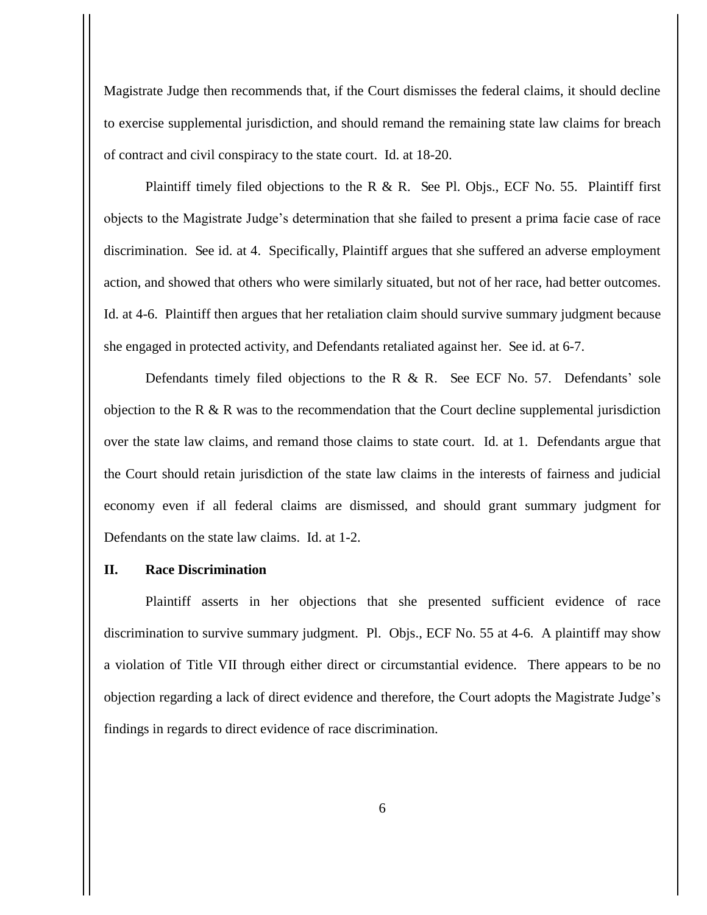Magistrate Judge then recommends that, if the Court dismisses the federal claims, it should decline to exercise supplemental jurisdiction, and should remand the remaining state law claims for breach of contract and civil conspiracy to the state court. Id. at 18-20.

Plaintiff timely filed objections to the R & R. See Pl. Objs., ECF No. 55. Plaintiff first objects to the Magistrate Judge's determination that she failed to present a prima facie case of race discrimination. See id. at 4. Specifically, Plaintiff argues that she suffered an adverse employment action, and showed that others who were similarly situated, but not of her race, had better outcomes. Id. at 4-6. Plaintiff then argues that her retaliation claim should survive summary judgment because she engaged in protected activity, and Defendants retaliated against her. See id. at 6-7.

Defendants timely filed objections to the R  $\&$  R. See ECF No. 57. Defendants' sole objection to the R  $\&$  R was to the recommendation that the Court decline supplemental jurisdiction over the state law claims, and remand those claims to state court. Id. at 1. Defendants argue that the Court should retain jurisdiction of the state law claims in the interests of fairness and judicial economy even if all federal claims are dismissed, and should grant summary judgment for Defendants on the state law claims. Id. at 1-2.

### **II. Race Discrimination**

Plaintiff asserts in her objections that she presented sufficient evidence of race discrimination to survive summary judgment. Pl. Objs., ECF No. 55 at 4-6. A plaintiff may show a violation of Title VII through either direct or circumstantial evidence. There appears to be no objection regarding a lack of direct evidence and therefore, the Court adopts the Magistrate Judge's findings in regards to direct evidence of race discrimination.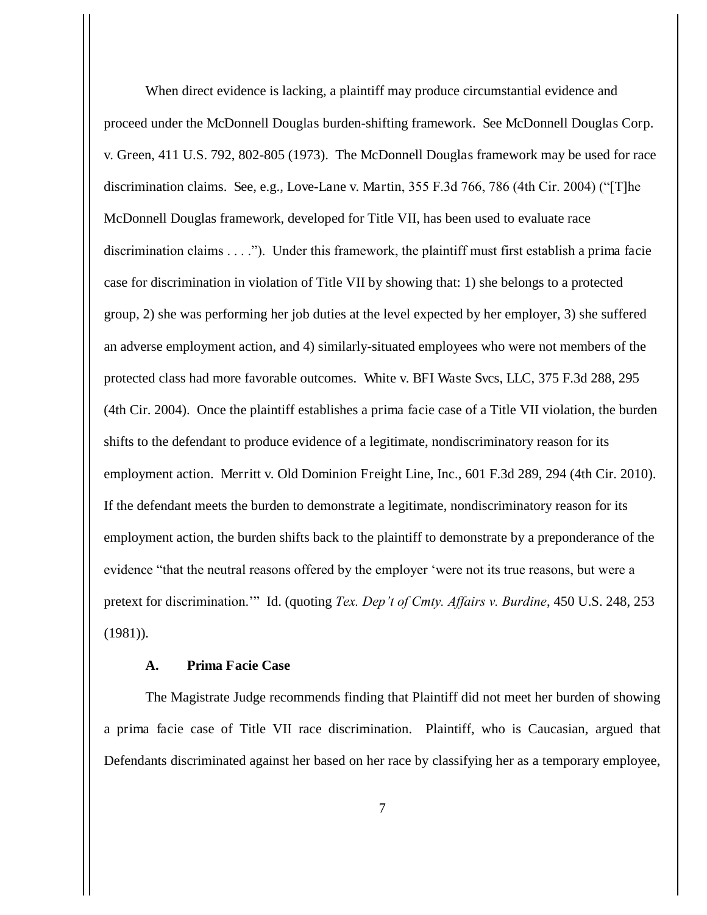When direct evidence is lacking, a plaintiff may produce circumstantial evidence and proceed under the McDonnell Douglas burden-shifting framework. See McDonnell Douglas Corp. v. Green, 411 U.S. 792, 802-805 (1973). The McDonnell Douglas framework may be used for race discrimination claims. See, e.g., Love-Lane v. Martin, 355 F.3d 766, 786 (4th Cir. 2004) ("[T]he McDonnell Douglas framework, developed for Title VII, has been used to evaluate race discrimination claims . . . ."). Under this framework, the plaintiff must first establish a prima facie case for discrimination in violation of Title VII by showing that: 1) she belongs to a protected group, 2) she was performing her job duties at the level expected by her employer, 3) she suffered an adverse employment action, and 4) similarly-situated employees who were not members of the protected class had more favorable outcomes. White v. BFI Waste Svcs, LLC, 375 F.3d 288, 295 (4th Cir. 2004). Once the plaintiff establishes a prima facie case of a Title VII violation, the burden shifts to the defendant to produce evidence of a legitimate, nondiscriminatory reason for its employment action. Merritt v. Old Dominion Freight Line, Inc., 601 F.3d 289, 294 (4th Cir. 2010). If the defendant meets the burden to demonstrate a legitimate, nondiscriminatory reason for its employment action, the burden shifts back to the plaintiff to demonstrate by a preponderance of the evidence "that the neutral reasons offered by the employer 'were not its true reasons, but were a pretext for discrimination.'" Id. (quoting *Tex. Dep't of Cmty. Affairs v. Burdine*, 450 U.S. 248, 253 (1981)).

### **A. Prima Facie Case**

The Magistrate Judge recommends finding that Plaintiff did not meet her burden of showing a prima facie case of Title VII race discrimination. Plaintiff, who is Caucasian, argued that Defendants discriminated against her based on her race by classifying her as a temporary employee,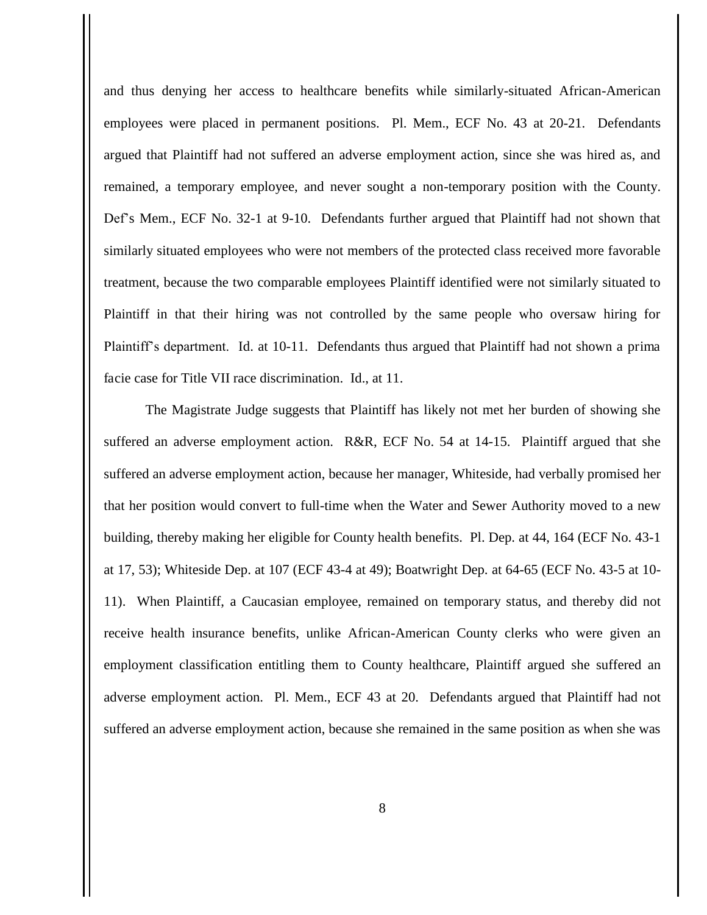and thus denying her access to healthcare benefits while similarly-situated African-American employees were placed in permanent positions. Pl. Mem., ECF No. 43 at 20-21. Defendants argued that Plaintiff had not suffered an adverse employment action, since she was hired as, and remained, a temporary employee, and never sought a non-temporary position with the County. Def's Mem., ECF No. 32-1 at 9-10. Defendants further argued that Plaintiff had not shown that similarly situated employees who were not members of the protected class received more favorable treatment, because the two comparable employees Plaintiff identified were not similarly situated to Plaintiff in that their hiring was not controlled by the same people who oversaw hiring for Plaintiff's department. Id. at 10-11. Defendants thus argued that Plaintiff had not shown a prima facie case for Title VII race discrimination. Id., at 11.

The Magistrate Judge suggests that Plaintiff has likely not met her burden of showing she suffered an adverse employment action. R&R, ECF No. 54 at 14-15. Plaintiff argued that she suffered an adverse employment action, because her manager, Whiteside, had verbally promised her that her position would convert to full-time when the Water and Sewer Authority moved to a new building, thereby making her eligible for County health benefits. Pl. Dep. at 44, 164 (ECF No. 43-1 at 17, 53); Whiteside Dep. at 107 (ECF 43-4 at 49); Boatwright Dep. at 64-65 (ECF No. 43-5 at 10- 11). When Plaintiff, a Caucasian employee, remained on temporary status, and thereby did not receive health insurance benefits, unlike African-American County clerks who were given an employment classification entitling them to County healthcare, Plaintiff argued she suffered an adverse employment action. Pl. Mem., ECF 43 at 20. Defendants argued that Plaintiff had not suffered an adverse employment action, because she remained in the same position as when she was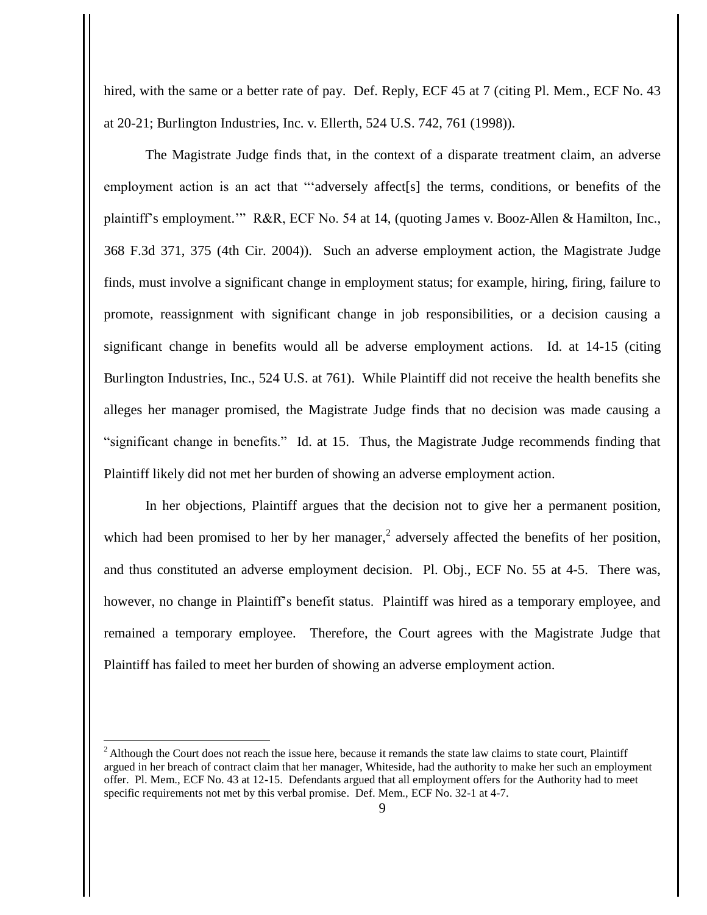hired, with the same or a better rate of pay. Def. Reply, ECF 45 at 7 (citing Pl. Mem., ECF No. 43 at 20-21; Burlington Industries, Inc. v. Ellerth, 524 U.S. 742, 761 (1998)).

The Magistrate Judge finds that, in the context of a disparate treatment claim, an adverse employment action is an act that "'adversely affect<sup>[s]</sup> the terms, conditions, or benefits of the plaintiff's employment.'" R&R, ECF No. 54 at 14, (quoting James v. Booz-Allen & Hamilton, Inc., 368 F.3d 371, 375 (4th Cir. 2004)). Such an adverse employment action, the Magistrate Judge finds, must involve a significant change in employment status; for example, hiring, firing, failure to promote, reassignment with significant change in job responsibilities, or a decision causing a significant change in benefits would all be adverse employment actions. Id. at 14-15 (citing Burlington Industries, Inc., 524 U.S. at 761). While Plaintiff did not receive the health benefits she alleges her manager promised, the Magistrate Judge finds that no decision was made causing a "significant change in benefits." Id. at 15. Thus, the Magistrate Judge recommends finding that Plaintiff likely did not met her burden of showing an adverse employment action.

In her objections, Plaintiff argues that the decision not to give her a permanent position, which had been promised to her by her manager,<sup>2</sup> adversely affected the benefits of her position, and thus constituted an adverse employment decision. Pl. Obj., ECF No. 55 at 4-5. There was, however, no change in Plaintiff's benefit status. Plaintiff was hired as a temporary employee, and remained a temporary employee. Therefore, the Court agrees with the Magistrate Judge that Plaintiff has failed to meet her burden of showing an adverse employment action.

 $2$  Although the Court does not reach the issue here, because it remands the state law claims to state court, Plaintiff argued in her breach of contract claim that her manager, Whiteside, had the authority to make her such an employment offer. Pl. Mem., ECF No. 43 at 12-15. Defendants argued that all employment offers for the Authority had to meet specific requirements not met by this verbal promise. Def. Mem., ECF No. 32-1 at 4-7.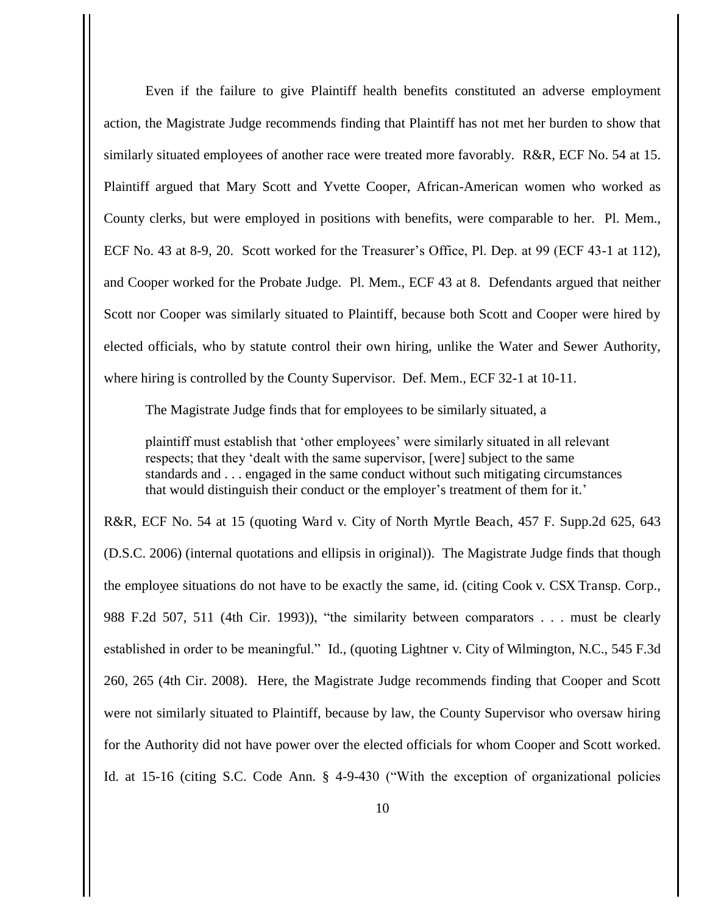Even if the failure to give Plaintiff health benefits constituted an adverse employment action, the Magistrate Judge recommends finding that Plaintiff has not met her burden to show that similarly situated employees of another race were treated more favorably. R&R, ECF No. 54 at 15. Plaintiff argued that Mary Scott and Yvette Cooper, African-American women who worked as County clerks, but were employed in positions with benefits, were comparable to her. Pl. Mem., ECF No. 43 at 8-9, 20. Scott worked for the Treasurer's Office, Pl. Dep. at 99 (ECF 43-1 at 112), and Cooper worked for the Probate Judge. Pl. Mem., ECF 43 at 8. Defendants argued that neither Scott nor Cooper was similarly situated to Plaintiff, because both Scott and Cooper were hired by elected officials, who by statute control their own hiring, unlike the Water and Sewer Authority, where hiring is controlled by the County Supervisor. Def. Mem., ECF 32-1 at 10-11.

The Magistrate Judge finds that for employees to be similarly situated, a

plaintiff must establish that 'other employees' were similarly situated in all relevant respects; that they 'dealt with the same supervisor, [were] subject to the same standards and . . . engaged in the same conduct without such mitigating circumstances that would distinguish their conduct or the employer's treatment of them for it.'

R&R, ECF No. 54 at 15 (quoting Ward v. City of North Myrtle Beach, 457 F. Supp.2d 625, 643 (D.S.C. 2006) (internal quotations and ellipsis in original)). The Magistrate Judge finds that though the employee situations do not have to be exactly the same, id. (citing Cook v. CSX Transp. Corp., 988 F.2d 507, 511 (4th Cir. 1993)), "the similarity between comparators . . . must be clearly established in order to be meaningful." Id., (quoting Lightner v. City of Wilmington, N.C., 545 F.3d 260, 265 (4th Cir. 2008). Here, the Magistrate Judge recommends finding that Cooper and Scott were not similarly situated to Plaintiff, because by law, the County Supervisor who oversaw hiring for the Authority did not have power over the elected officials for whom Cooper and Scott worked. Id. at 15-16 (citing S.C. Code Ann. § 4-9-430 ("With the exception of organizational policies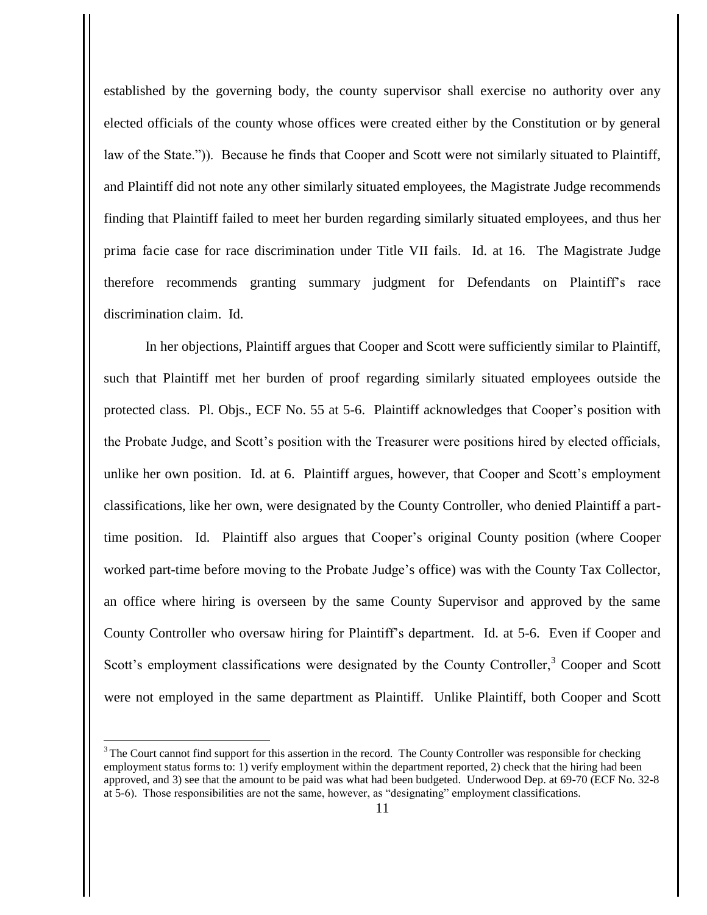established by the governing body, the county supervisor shall exercise no authority over any elected officials of the county whose offices were created either by the Constitution or by general law of the State.")). Because he finds that Cooper and Scott were not similarly situated to Plaintiff, and Plaintiff did not note any other similarly situated employees, the Magistrate Judge recommends finding that Plaintiff failed to meet her burden regarding similarly situated employees, and thus her prima facie case for race discrimination under Title VII fails. Id. at 16. The Magistrate Judge therefore recommends granting summary judgment for Defendants on Plaintiff's race discrimination claim. Id.

 In her objections, Plaintiff argues that Cooper and Scott were sufficiently similar to Plaintiff, such that Plaintiff met her burden of proof regarding similarly situated employees outside the protected class. Pl. Objs., ECF No. 55 at 5-6. Plaintiff acknowledges that Cooper's position with the Probate Judge, and Scott's position with the Treasurer were positions hired by elected officials, unlike her own position. Id. at 6. Plaintiff argues, however, that Cooper and Scott's employment classifications, like her own, were designated by the County Controller, who denied Plaintiff a parttime position. Id. Plaintiff also argues that Cooper's original County position (where Cooper worked part-time before moving to the Probate Judge's office) was with the County Tax Collector, an office where hiring is overseen by the same County Supervisor and approved by the same County Controller who oversaw hiring for Plaintiff's department. Id. at 5-6. Even if Cooper and Scott's employment classifications were designated by the County Controller,<sup>3</sup> Cooper and Scott were not employed in the same department as Plaintiff. Unlike Plaintiff, both Cooper and Scott

<sup>&</sup>lt;sup>3</sup> The Court cannot find support for this assertion in the record. The County Controller was responsible for checking employment status forms to: 1) verify employment within the department reported, 2) check that the hiring had been approved, and 3) see that the amount to be paid was what had been budgeted. Underwood Dep. at 69-70 (ECF No. 32-8 at 5-6). Those responsibilities are not the same, however, as "designating" employment classifications.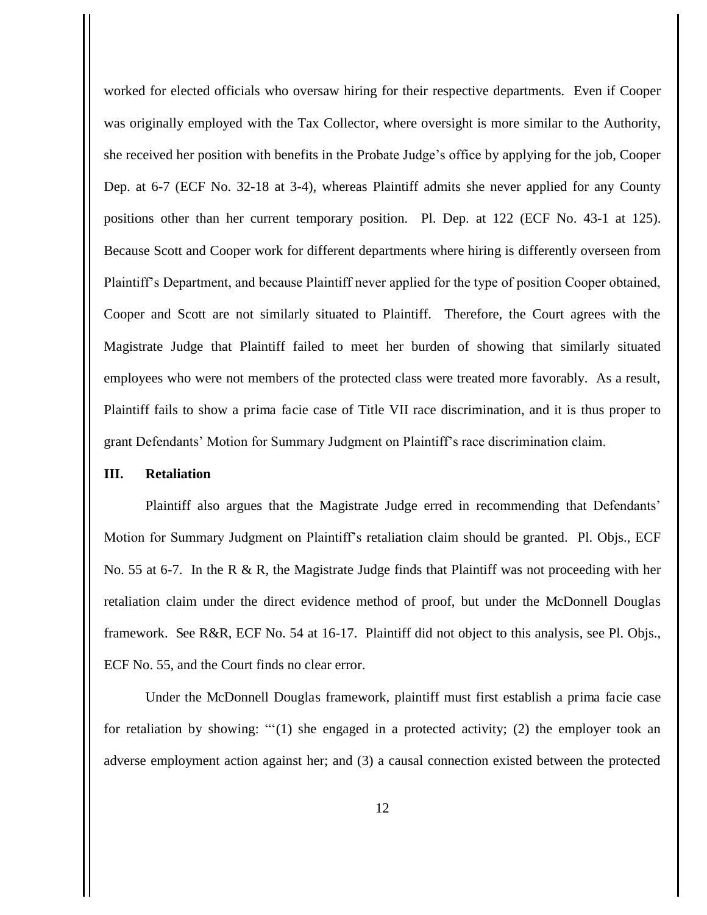worked for elected officials who oversaw hiring for their respective departments. Even if Cooper was originally employed with the Tax Collector, where oversight is more similar to the Authority, she received her position with benefits in the Probate Judge's office by applying for the job, Cooper Dep. at 6-7 (ECF No. 32-18 at 3-4), whereas Plaintiff admits she never applied for any County positions other than her current temporary position. Pl. Dep. at 122 (ECF No. 43-1 at 125). Because Scott and Cooper work for different departments where hiring is differently overseen from Plaintiff's Department, and because Plaintiff never applied for the type of position Cooper obtained, Cooper and Scott are not similarly situated to Plaintiff. Therefore, the Court agrees with the Magistrate Judge that Plaintiff failed to meet her burden of showing that similarly situated employees who were not members of the protected class were treated more favorably. As a result, Plaintiff fails to show a prima facie case of Title VII race discrimination, and it is thus proper to grant Defendants' Motion for Summary Judgment on Plaintiff's race discrimination claim.

## **III. Retaliation**

Plaintiff also argues that the Magistrate Judge erred in recommending that Defendants' Motion for Summary Judgment on Plaintiff's retaliation claim should be granted. Pl. Objs., ECF No. 55 at 6-7. In the R & R, the Magistrate Judge finds that Plaintiff was not proceeding with her retaliation claim under the direct evidence method of proof, but under the McDonnell Douglas framework. See R&R, ECF No. 54 at 16-17. Plaintiff did not object to this analysis, see Pl. Objs., ECF No. 55, and the Court finds no clear error.

Under the McDonnell Douglas framework, plaintiff must first establish a prima facie case for retaliation by showing: " $(1)$  she engaged in a protected activity; (2) the employer took an adverse employment action against her; and (3) a causal connection existed between the protected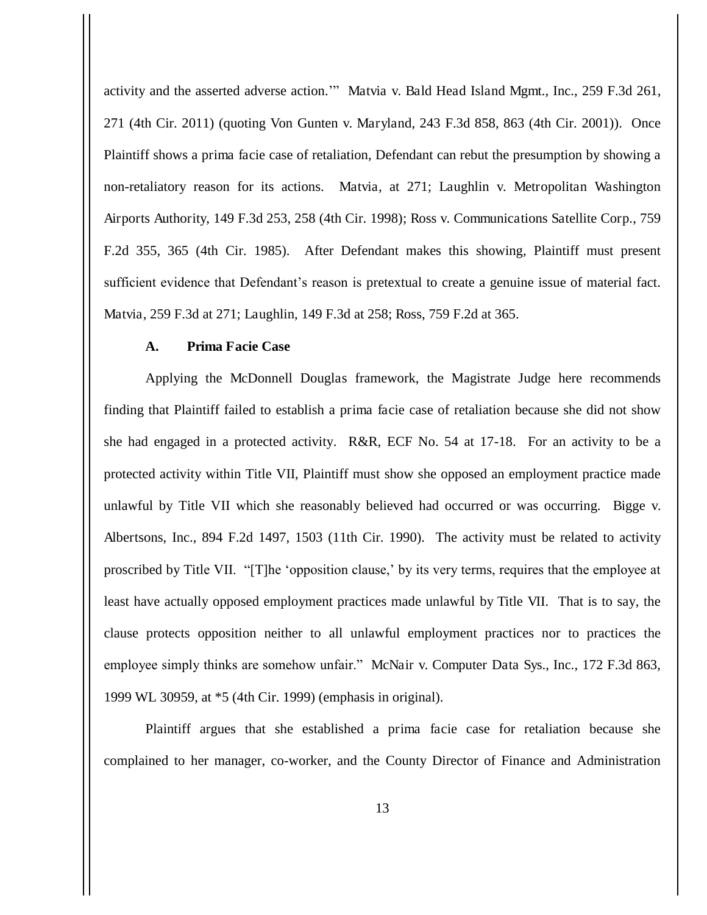activity and the asserted adverse action.'" Matvia v. Bald Head Island Mgmt., Inc., 259 F.3d 261, 271 (4th Cir. 2011) (quoting Von Gunten v. Maryland, 243 F.3d 858, 863 (4th Cir. 2001)). Once Plaintiff shows a prima facie case of retaliation, Defendant can rebut the presumption by showing a non-retaliatory reason for its actions. Matvia, at 271; Laughlin v. Metropolitan Washington Airports Authority, 149 F.3d 253, 258 (4th Cir. 1998); Ross v. Communications Satellite Corp., 759 F.2d 355, 365 (4th Cir. 1985). After Defendant makes this showing, Plaintiff must present sufficient evidence that Defendant's reason is pretextual to create a genuine issue of material fact. Matvia, 259 F.3d at 271; Laughlin, 149 F.3d at 258; Ross, 759 F.2d at 365.

## **A. Prima Facie Case**

Applying the McDonnell Douglas framework, the Magistrate Judge here recommends finding that Plaintiff failed to establish a prima facie case of retaliation because she did not show she had engaged in a protected activity. R&R, ECF No. 54 at 17-18. For an activity to be a protected activity within Title VII, Plaintiff must show she opposed an employment practice made unlawful by Title VII which she reasonably believed had occurred or was occurring. Bigge v. Albertsons, Inc., 894 F.2d 1497, 1503 (11th Cir. 1990). The activity must be related to activity proscribed by Title VII. "[T]he 'opposition clause,' by its very terms, requires that the employee at least have actually opposed employment practices made unlawful by Title VII. That is to say, the clause protects opposition neither to all unlawful employment practices nor to practices the employee simply thinks are somehow unfair." McNair v. Computer Data Sys., Inc., 172 F.3d 863, 1999 WL 30959, at \*5 (4th Cir. 1999) (emphasis in original).

Plaintiff argues that she established a prima facie case for retaliation because she complained to her manager, co-worker, and the County Director of Finance and Administration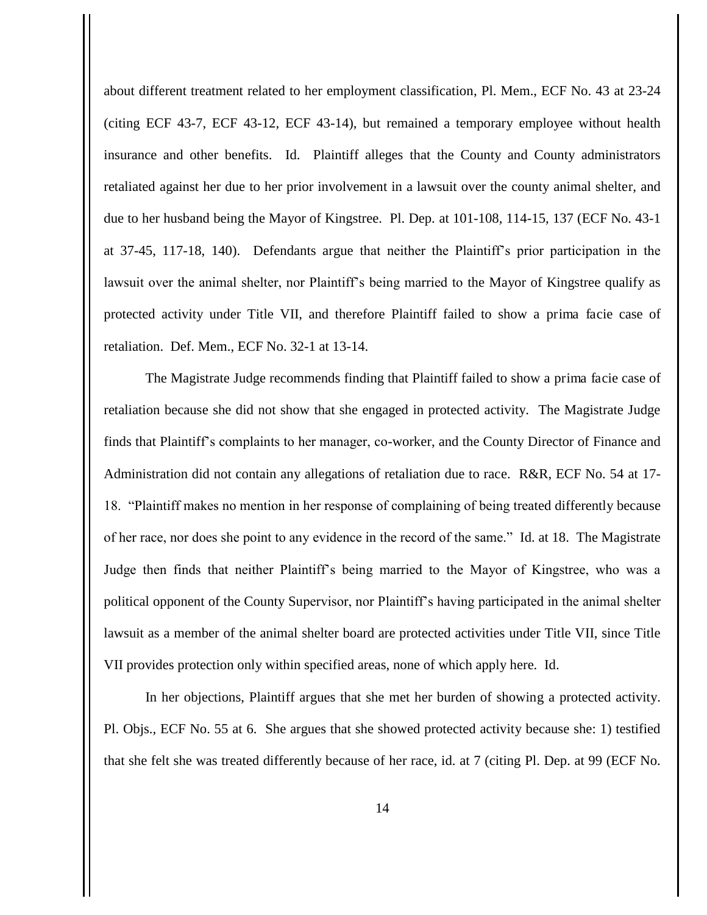about different treatment related to her employment classification, Pl. Mem., ECF No. 43 at 23-24 (citing ECF 43-7, ECF 43-12, ECF 43-14), but remained a temporary employee without health insurance and other benefits. Id. Plaintiff alleges that the County and County administrators retaliated against her due to her prior involvement in a lawsuit over the county animal shelter, and due to her husband being the Mayor of Kingstree. Pl. Dep. at 101-108, 114-15, 137 (ECF No. 43-1 at 37-45, 117-18, 140). Defendants argue that neither the Plaintiff's prior participation in the lawsuit over the animal shelter, nor Plaintiff's being married to the Mayor of Kingstree qualify as protected activity under Title VII, and therefore Plaintiff failed to show a prima facie case of retaliation. Def. Mem., ECF No. 32-1 at 13-14.

The Magistrate Judge recommends finding that Plaintiff failed to show a prima facie case of retaliation because she did not show that she engaged in protected activity. The Magistrate Judge finds that Plaintiff's complaints to her manager, co-worker, and the County Director of Finance and Administration did not contain any allegations of retaliation due to race. R&R, ECF No. 54 at 17- 18. "Plaintiff makes no mention in her response of complaining of being treated differently because of her race, nor does she point to any evidence in the record of the same." Id. at 18. The Magistrate Judge then finds that neither Plaintiff's being married to the Mayor of Kingstree, who was a political opponent of the County Supervisor, nor Plaintiff's having participated in the animal shelter lawsuit as a member of the animal shelter board are protected activities under Title VII, since Title VII provides protection only within specified areas, none of which apply here. Id.

In her objections, Plaintiff argues that she met her burden of showing a protected activity. Pl. Objs., ECF No. 55 at 6. She argues that she showed protected activity because she: 1) testified that she felt she was treated differently because of her race, id. at 7 (citing Pl. Dep. at 99 (ECF No.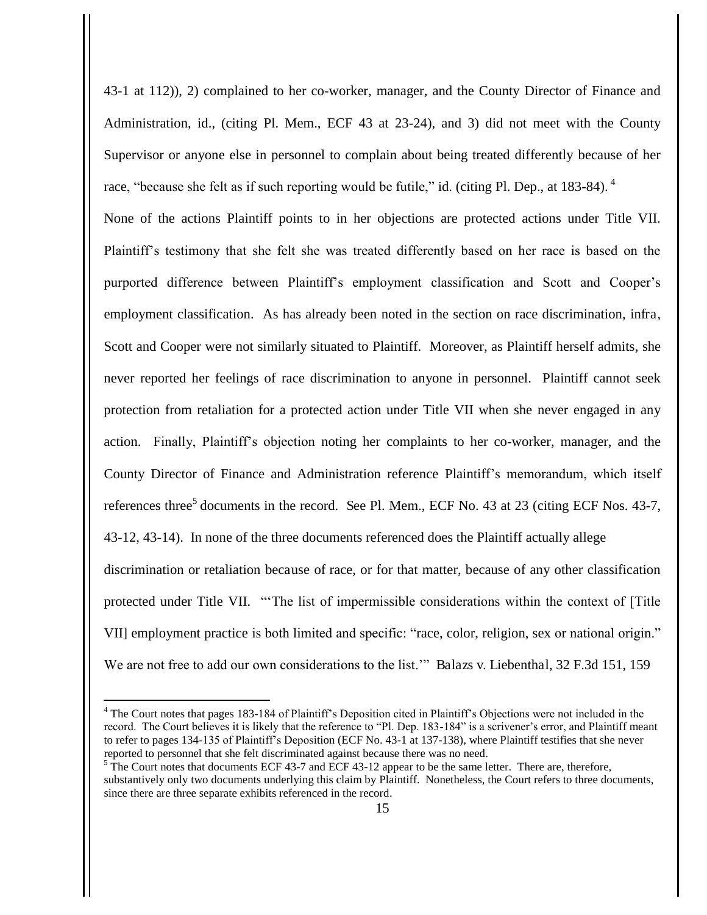43-1 at 112)), 2) complained to her co-worker, manager, and the County Director of Finance and Administration, id., (citing Pl. Mem., ECF 43 at 23-24), and 3) did not meet with the County Supervisor or anyone else in personnel to complain about being treated differently because of her race, "because she felt as if such reporting would be futile," id. (citing Pl. Dep., at 183-84). <sup>4</sup> None of the actions Plaintiff points to in her objections are protected actions under Title VII. Plaintiff's testimony that she felt she was treated differently based on her race is based on the purported difference between Plaintiff's employment classification and Scott and Cooper's employment classification. As has already been noted in the section on race discrimination, infra, Scott and Cooper were not similarly situated to Plaintiff. Moreover, as Plaintiff herself admits, she never reported her feelings of race discrimination to anyone in personnel. Plaintiff cannot seek protection from retaliation for a protected action under Title VII when she never engaged in any action. Finally, Plaintiff's objection noting her complaints to her co-worker, manager, and the County Director of Finance and Administration reference Plaintiff's memorandum, which itself references three<sup>5</sup> documents in the record. See Pl. Mem., ECF No. 43 at 23 (citing ECF Nos. 43-7, 43-12, 43-14). In none of the three documents referenced does the Plaintiff actually allege discrimination or retaliation because of race, or for that matter, because of any other classification protected under Title VII. "'The list of impermissible considerations within the context of [Title VII] employment practice is both limited and specific: "race, color, religion, sex or national origin." We are not free to add our own considerations to the list."" Balazs v. Liebenthal, 32 F.3d 151, 159

<sup>&</sup>lt;sup>4</sup> The Court notes that pages 183-184 of Plaintiff's Deposition cited in Plaintiff's Objections were not included in the record. The Court believes it is likely that the reference to "Pl. Dep. 183-184" is a scrivener's error, and Plaintiff meant to refer to pages 134-135 of Plaintiff's Deposition (ECF No. 43-1 at 137-138), where Plaintiff testifies that she never reported to personnel that she felt discriminated against because there was no need.

 $5$  The Court notes that documents ECF 43-7 and ECF 43-12 appear to be the same letter. There are, therefore, substantively only two documents underlying this claim by Plaintiff. Nonetheless, the Court refers to three documents, since there are three separate exhibits referenced in the record.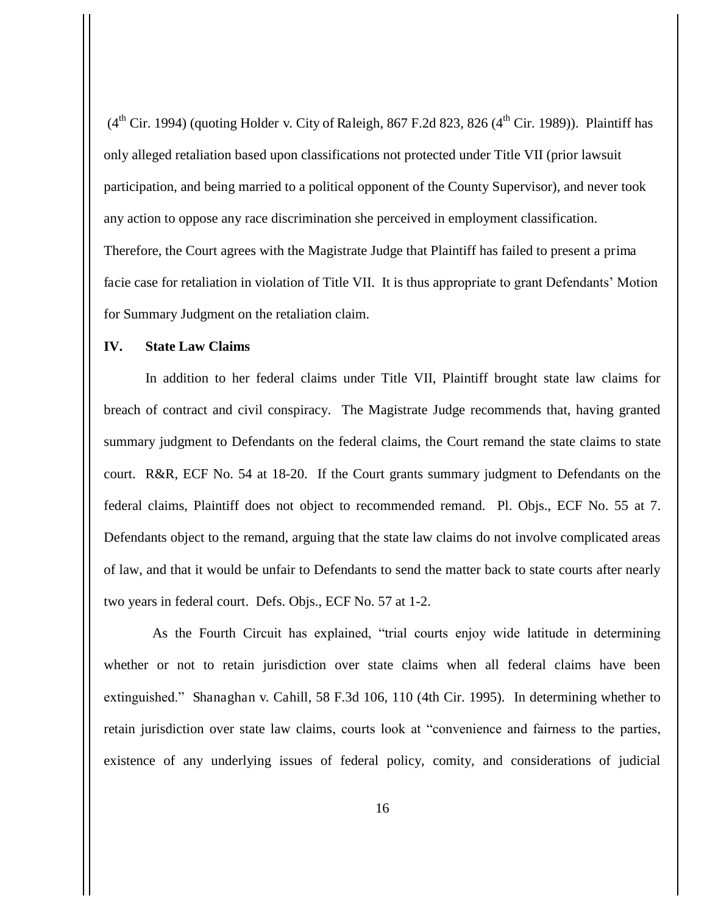$(4<sup>th</sup> Cir. 1994)$  (quoting Holder v. City of Raleigh, 867 F.2d 823, 826  $(4<sup>th</sup> Cir. 1989)$ ). Plaintiff has only alleged retaliation based upon classifications not protected under Title VII (prior lawsuit participation, and being married to a political opponent of the County Supervisor), and never took any action to oppose any race discrimination she perceived in employment classification. Therefore, the Court agrees with the Magistrate Judge that Plaintiff has failed to present a prima facie case for retaliation in violation of Title VII. It is thus appropriate to grant Defendants' Motion for Summary Judgment on the retaliation claim.

## **IV. State Law Claims**

In addition to her federal claims under Title VII, Plaintiff brought state law claims for breach of contract and civil conspiracy. The Magistrate Judge recommends that, having granted summary judgment to Defendants on the federal claims, the Court remand the state claims to state court. R&R, ECF No. 54 at 18-20. If the Court grants summary judgment to Defendants on the federal claims, Plaintiff does not object to recommended remand. Pl. Objs., ECF No. 55 at 7. Defendants object to the remand, arguing that the state law claims do not involve complicated areas of law, and that it would be unfair to Defendants to send the matter back to state courts after nearly two years in federal court. Defs. Objs., ECF No. 57 at 1-2.

 As the Fourth Circuit has explained, "trial courts enjoy wide latitude in determining whether or not to retain jurisdiction over state claims when all federal claims have been extinguished." Shanaghan v. Cahill, 58 F.3d 106, 110 (4th Cir. 1995). In determining whether to retain jurisdiction over state law claims, courts look at "convenience and fairness to the parties, existence of any underlying issues of federal policy, comity, and considerations of judicial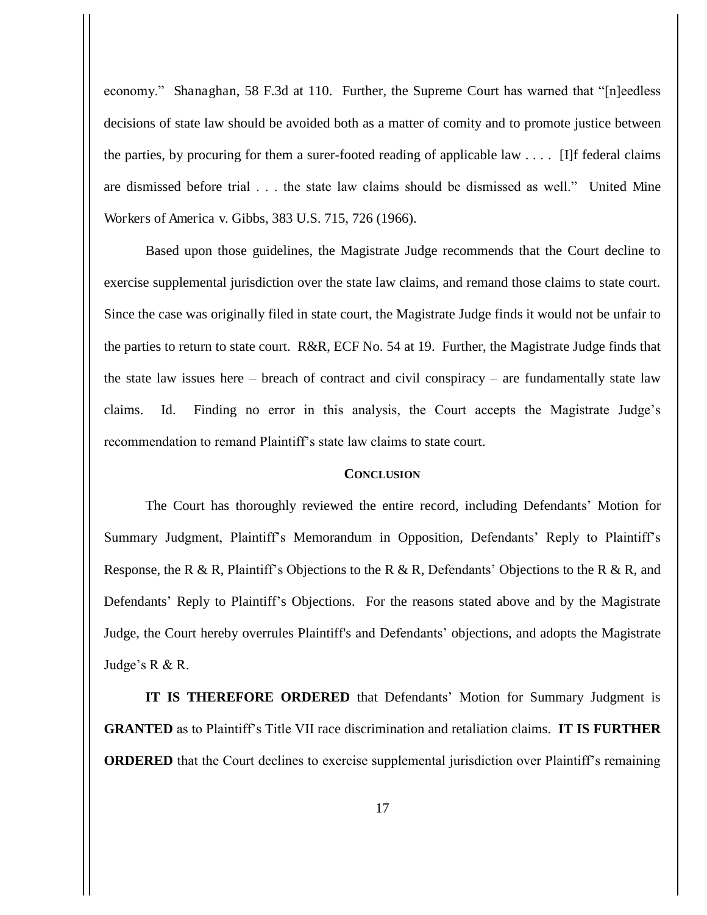economy." Shanaghan, 58 F.3d at 110. Further, the Supreme Court has warned that "[n]eedless decisions of state law should be avoided both as a matter of comity and to promote justice between the parties, by procuring for them a surer-footed reading of applicable law  $\dots$ . [I]f federal claims are dismissed before trial . . . the state law claims should be dismissed as well." United Mine Workers of America v. Gibbs, 383 U.S. 715, 726 (1966).

Based upon those guidelines, the Magistrate Judge recommends that the Court decline to exercise supplemental jurisdiction over the state law claims, and remand those claims to state court. Since the case was originally filed in state court, the Magistrate Judge finds it would not be unfair to the parties to return to state court. R&R, ECF No. 54 at 19. Further, the Magistrate Judge finds that the state law issues here – breach of contract and civil conspiracy – are fundamentally state law claims. Id. Finding no error in this analysis, the Court accepts the Magistrate Judge's recommendation to remand Plaintiff's state law claims to state court.

## **CONCLUSION**

 The Court has thoroughly reviewed the entire record, including Defendants' Motion for Summary Judgment, Plaintiff's Memorandum in Opposition, Defendants' Reply to Plaintiff's Response, the R & R, Plaintiff's Objections to the R & R, Defendants' Objections to the R & R, and Defendants' Reply to Plaintiff's Objections. For the reasons stated above and by the Magistrate Judge, the Court hereby overrules Plaintiff's and Defendants' objections, and adopts the Magistrate Judge's R & R.

**IT IS THEREFORE ORDERED** that Defendants' Motion for Summary Judgment is **GRANTED** as to Plaintiff's Title VII race discrimination and retaliation claims. **IT IS FURTHER ORDERED** that the Court declines to exercise supplemental jurisdiction over Plaintiff's remaining